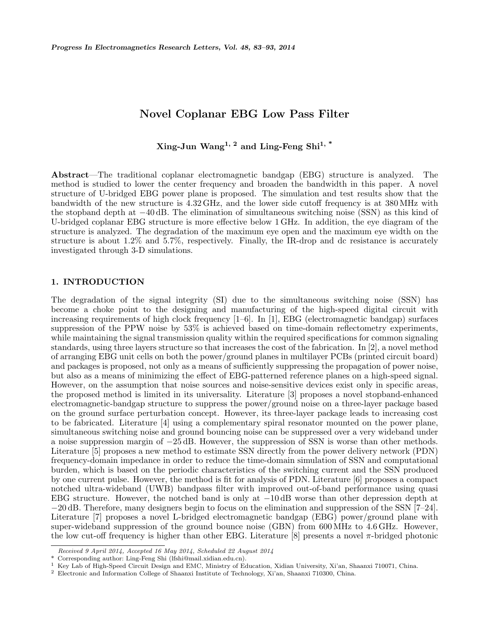# Novel Coplanar EBG Low Pass Filter

Xing-Jun Wang<sup>1, 2</sup> and Ling-Feng Shi<sup>1, \*</sup>

Abstract—The traditional coplanar electromagnetic bandgap (EBG) structure is analyzed. The method is studied to lower the center frequency and broaden the bandwidth in this paper. A novel structure of U-bridged EBG power plane is proposed. The simulation and test results show that the bandwidth of the new structure is 4.32 GHz, and the lower side cutoff frequency is at 380 MHz with the stopband depth at −40 dB. The elimination of simultaneous switching noise (SSN) as this kind of U-bridged coplanar EBG structure is more effective below 1 GHz. In addition, the eye diagram of the structure is analyzed. The degradation of the maximum eye open and the maximum eye width on the structure is about 1.2% and 5.7%, respectively. Finally, the IR-drop and dc resistance is accurately investigated through 3-D simulations.

# 1. INTRODUCTION

The degradation of the signal integrity (SI) due to the simultaneous switching noise (SSN) has become a choke point to the designing and manufacturing of the high-speed digital circuit with increasing requirements of high clock frequency [1–6]. In [1], EBG (electromagnetic bandgap) surfaces suppression of the PPW noise by 53% is achieved based on time-domain reflectometry experiments, while maintaining the signal transmission quality within the required specifications for common signaling standards, using three layers structure so that increases the cost of the fabrication. In [2], a novel method of arranging EBG unit cells on both the power/ground planes in multilayer PCBs (printed circuit board) and packages is proposed, not only as a means of sufficiently suppressing the propagation of power noise, but also as a means of minimizing the effect of EBG-patterned reference planes on a high-speed signal. However, on the assumption that noise sources and noise-sensitive devices exist only in specific areas, the proposed method is limited in its universality. Literature [3] proposes a novel stopband-enhanced electromagnetic-bandgap structure to suppress the power/ground noise on a three-layer package based on the ground surface perturbation concept. However, its three-layer package leads to increasing cost to be fabricated. Literature [4] using a complementary spiral resonator mounted on the power plane, simultaneous switching noise and ground bouncing noise can be suppressed over a very wideband under a noise suppression margin of −25 dB. However, the suppression of SSN is worse than other methods. Literature [5] proposes a new method to estimate SSN directly from the power delivery network (PDN) frequency-domain impedance in order to reduce the time-domain simulation of SSN and computational burden, which is based on the periodic characteristics of the switching current and the SSN produced by one current pulse. However, the method is fit for analysis of PDN. Literature [6] proposes a compact notched ultra-wideband (UWB) bandpass filter with improved out-of-band performance using quasi EBG structure. However, the notched band is only at  $-10 \text{ dB}$  worse than other depression depth at −20 dB. Therefore, many designers begin to focus on the elimination and suppression of the SSN [7–24]. Literature [7] proposes a novel L-bridged electromagnetic bandgap (EBG) power/ground plane with super-wideband suppression of the ground bounce noise (GBN) from 600 MHz to 4.6 GHz. However, the low cut-off frequency is higher than other EBG. Literature [8] presents a novel  $\pi$ -bridged photonic

Received 9 April 2014, Accepted 16 May 2014, Scheduled 22 August 2014

<sup>\*</sup> Corresponding author: Ling-Feng Shi (lfshi@mail.xidian.edu.cn).

<sup>1</sup> Key Lab of High-Speed Circuit Design and EMC, Ministry of Education, Xidian University, Xi'an, Shaanxi 710071, China.

<sup>2</sup> Electronic and Information College of Shaanxi Institute of Technology, Xi'an, Shaanxi 710300, China.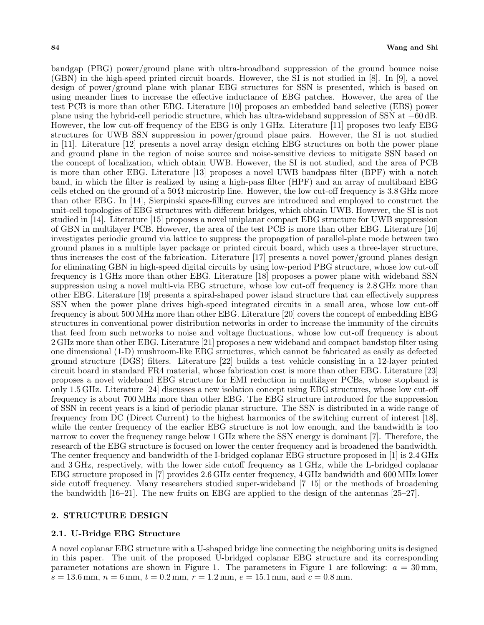bandgap (PBG) power/ground plane with ultra-broadband suppression of the ground bounce noise (GBN) in the high-speed printed circuit boards. However, the SI is not studied in [8]. In [9], a novel design of power/ground plane with planar EBG structures for SSN is presented, which is based on using meander lines to increase the effective inductance of EBG patches. However, the area of the test PCB is more than other EBG. Literature [10] proposes an embedded band selective (EBS) power plane using the hybrid-cell periodic structure, which has ultra-wideband suppression of SSN at −60 dB. However, the low cut-off frequency of the EBG is only 1 GHz. Literature [11] proposes two leafy EBG structures for UWB SSN suppression in power/ground plane pairs. However, the SI is not studied in [11]. Literature [12] presents a novel array design etching EBG structures on both the power plane and ground plane in the region of noise source and noise-sensitive devices to mitigate SSN based on the concept of localization, which obtain UWB. However, the SI is not studied, and the area of PCB is more than other EBG. Literature [13] proposes a novel UWB bandpass filter (BPF) with a notch band, in which the filter is realized by using a high-pass filter (HPF) and an array of multiband EBG cells etched on the ground of a  $50 \Omega$  microstrip line. However, the low cut-off frequency is 3.8 GHz more than other EBG. In [14], Sierpinski space-filling curves are introduced and employed to construct the unit-cell topologies of EBG structures with different bridges, which obtain UWB. However, the SI is not studied in [14]. Literature [15] proposes a novel uniplanar compact EBG structure for UWB suppression of GBN in multilayer PCB. However, the area of the test PCB is more than other EBG. Literature [16] investigates periodic ground via lattice to suppress the propagation of parallel-plate mode between two ground planes in a multiple layer package or printed circuit board, which uses a three-layer structure, thus increases the cost of the fabrication. Literature [17] presents a novel power/ground planes design for eliminating GBN in high-speed digital circuits by using low-period PBG structure, whose low cut-off frequency is 1 GHz more than other EBG. Literature [18] proposes a power plane with wideband SSN suppression using a novel multi-via EBG structure, whose low cut-off frequency is 2.8 GHz more than other EBG. Literature [19] presents a spiral-shaped power island structure that can effectively suppress SSN when the power plane drives high-speed integrated circuits in a small area, whose low cut-off frequency is about 500 MHz more than other EBG. Literature [20] covers the concept of embedding EBG structures in conventional power distribution networks in order to increase the immunity of the circuits that feed from such networks to noise and voltage fluctuations, whose low cut-off frequency is about 2 GHz more than other EBG. Literature [21] proposes a new wideband and compact bandstop filter using one dimensional (1-D) mushroom-like EBG structures, which cannot be fabricated as easily as defected ground structure (DGS) filters. Literature [22] builds a test vehicle consisting in a 12-layer printed circuit board in standard FR4 material, whose fabrication cost is more than other EBG. Literature [23] proposes a novel wideband EBG structure for EMI reduction in multilayer PCBs, whose stopband is only 1.5 GHz. Literature [24] discusses a new isolation concept using EBG structures, whose low cut-off frequency is about 700 MHz more than other EBG. The EBG structure introduced for the suppression of SSN in recent years is a kind of periodic planar structure. The SSN is distributed in a wide range of frequency from DC (Direct Current) to the highest harmonics of the switching current of interest [18], while the center frequency of the earlier EBG structure is not low enough, and the bandwidth is too narrow to cover the frequency range below 1 GHz where the SSN energy is dominant [7]. Therefore, the research of the EBG structure is focused on lower the center frequency and is broadened the bandwidth. The center frequency and bandwidth of the I-bridged coplanar EBG structure proposed in [1] is 2.4 GHz and 3 GHz, respectively, with the lower side cutoff frequency as 1 GHz, while the L-bridged coplanar EBG structure proposed in [7] provides 2.6 GHz center frequency, 4 GHz bandwidth and 600 MHz lower side cutoff frequency. Many researchers studied super-wideband [7–15] or the methods of broadening the bandwidth [16–21]. The new fruits on EBG are applied to the design of the antennas [25–27].

# 2. STRUCTURE DESIGN

# 2.1. U-Bridge EBG Structure

A novel coplanar EBG structure with a U-shaped bridge line connecting the neighboring units is designed in this paper. The unit of the proposed U-bridged coplanar EBG structure and its corresponding parameter notations are shown in Figure 1. The parameters in Figure 1 are following:  $a = 30$  mm,  $s = 13.6$  mm,  $n = 6$  mm,  $t = 0.2$  mm,  $r = 1.2$  mm,  $e = 15.1$  mm, and  $c = 0.8$  mm.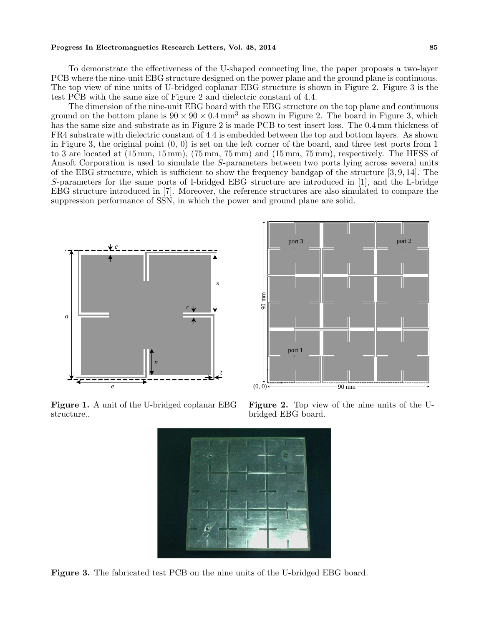#### Progress In Electromagnetics Research Letters, Vol. 48, 2014 85

To demonstrate the effectiveness of the U-shaped connecting line, the paper proposes a two-layer PCB where the nine-unit EBG structure designed on the power plane and the ground plane is continuous. The top view of nine units of U-bridged coplanar EBG structure is shown in Figure 2. Figure 3 is the test PCB with the same size of Figure 2 and dielectric constant of 4.4.

The dimension of the nine-unit EBG board with the EBG structure on the top plane and continuous ground on the bottom plane is  $90 \times 90 \times 0.4 \text{ mm}^3$  as shown in Figure 2. The board in Figure 3, which has the same size and substrate as in Figure 2 is made PCB to test insert loss. The 0.4 mm thickness of FR4 substrate with dielectric constant of 4.4 is embedded between the top and bottom layers. As shown in Figure 3, the original point  $(0, 0)$  is set on the left corner of the board, and three test ports from 1 to 3 are located at (15 mm, 15 mm), (75 mm, 75 mm) and (15 mm, 75 mm), respectively. The HFSS of Ansoft Corporation is used to simulate the S-parameters between two ports lying across several units of the EBG structure, which is sufficient to show the frequency bandgap of the structure [3, 9, 14]. The S-parameters for the same ports of I-bridged EBG structure are introduced in [1], and the L-bridge EBG structure introduced in [7]. Moreover, the reference structures are also simulated to compare the suppression performance of SSN, in which the power and ground plane are solid.



Figure 1. A unit of the U-bridged coplanar EBG structure..



Figure 2. Top view of the nine units of the Ubridged EBG board.



Figure 3. The fabricated test PCB on the nine units of the U-bridged EBG board.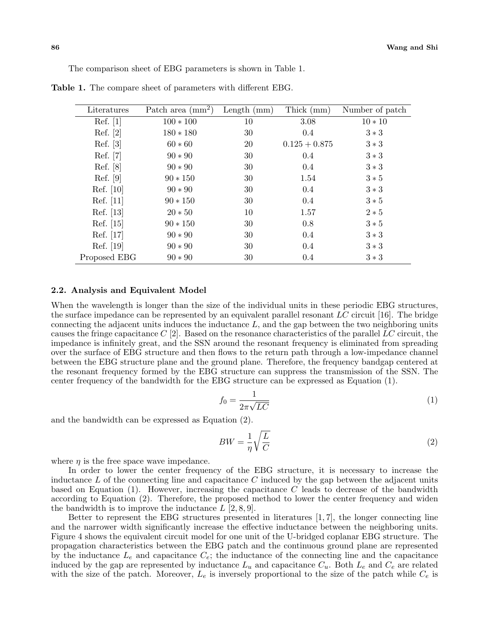The comparison sheet of EBG parameters is shown in Table 1.

| Literatures  | Patch area $\text{(mm)}^2$ | Length $(mm)$ | Thick (mm)      | Number of patch |
|--------------|----------------------------|---------------|-----------------|-----------------|
| Ref. [1]     | $100 * 100$                | 10            | 3.08            | $10 * 10$       |
| Ref. [2]     | $180 * 180$                | 30            | 0.4             | $3*3$           |
| Ref. [3]     | $60 * 60$                  | 20            | $0.125 + 0.875$ | $3*3$           |
| Ref. [7]     | $90 * 90$                  | 30            | 0.4             | $3*3$           |
| Ref. [8]     | $90 * 90$                  | 30            | $0.4\,$         | $3*3$           |
| Ref. [9]     | $90 * 150$                 | 30            | 1.54            | $3 * 5$         |
| Ref. [10]    | $90 * 90$                  | 30            | 0.4             | $3*3$           |
| Ref. [11]    | $90 * 150$                 | 30            | 0.4             | $3 * 5$         |
| Ref. [13]    | $20 * 50$                  | 10            | 1.57            | $2 * 5$         |
| Ref. [15]    | $90 * 150$                 | 30            | 0.8             | $3 * 5$         |
| Ref. [17]    | $90 * 90$                  | 30            | 0.4             | $3*3$           |
| Ref. [19]    | $90 * 90$                  | 30            | 0.4             | $3*3$           |
| Proposed EBG | $90 * 90$                  | 30            | 0.4             | $3*3$           |

Table 1. The compare sheet of parameters with different EBG.

# 2.2. Analysis and Equivalent Model

When the wavelength is longer than the size of the individual units in these periodic EBG structures, the surface impedance can be represented by an equivalent parallel resonant  $LC$  circuit [16]. The bridge connecting the adjacent units induces the inductance  $L$ , and the gap between the two neighboring units causes the fringe capacitance  $C$  [2]. Based on the resonance characteristics of the parallel LC circuit, the impedance is infinitely great, and the SSN around the resonant frequency is eliminated from spreading over the surface of EBG structure and then flows to the return path through a low-impedance channel between the EBG structure plane and the ground plane. Therefore, the frequency bandgap centered at the resonant frequency formed by the EBG structure can suppress the transmission of the SSN. The center frequency of the bandwidth for the EBG structure can be expressed as Equation (1).

$$
f_0 = \frac{1}{2\pi\sqrt{LC}}\tag{1}
$$

and the bandwidth can be expressed as Equation (2).

$$
BW = \frac{1}{\eta} \sqrt{\frac{L}{C}}
$$
 (2)

where  $\eta$  is the free space wave impedance.

In order to lower the center frequency of the EBG structure, it is necessary to increase the inductance  $L$  of the connecting line and capacitance  $C$  induced by the gap between the adjacent units based on Equation  $(1)$ . However, increasing the capacitance C leads to decrease of the bandwidth according to Equation (2). Therefore, the proposed method to lower the center frequency and widen the bandwidth is to improve the inductance  $L [2, 8, 9]$ .

Better to represent the EBG structures presented in literatures [1, 7], the longer connecting line and the narrower width significantly increase the effective inductance between the neighboring units. Figure 4 shows the equivalent circuit model for one unit of the U-bridged coplanar EBG structure. The propagation characteristics between the EBG patch and the continuous ground plane are represented by the inductance  $L_e$  and capacitance  $C_e$ ; the inductance of the connecting line and the capacitance induced by the gap are represented by inductance  $L_u$  and capacitance  $C_u$ . Both  $L_e$  and  $C_e$  are related with the size of the patch. Moreover,  $L_e$  is inversely proportional to the size of the patch while  $C_e$  is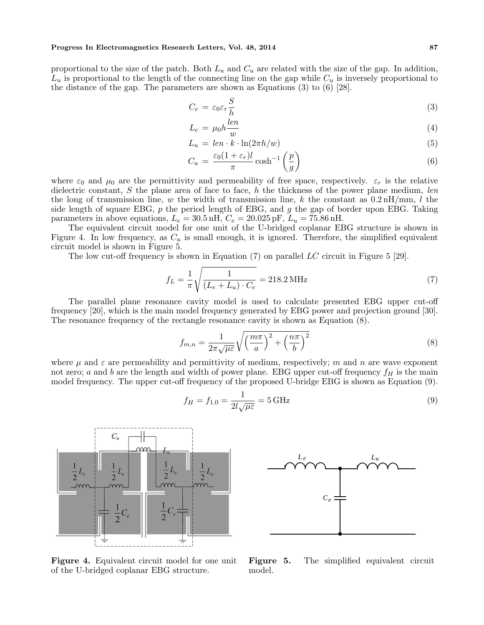#### Progress In Electromagnetics Research Letters, Vol. 48, 2014 87

proportional to the size of the patch. Both  $L_u$  and  $C_u$  are related with the size of the gap. In addition,  $L_u$  is proportional to the length of the connecting line on the gap while  $C_u$  is inversely proportional to the distance of the gap. The parameters are shown as Equations (3) to (6) [28].

$$
C_e = \varepsilon_0 \varepsilon_r \frac{S}{h} \tag{3}
$$

$$
L_e = \mu_0 h \frac{len}{w} \tag{4}
$$

$$
L_u = len \cdot k \cdot ln(2\pi h/w) \tag{5}
$$

$$
C_u = \frac{\varepsilon_0 (1 + \varepsilon_r) l}{\pi} \cosh^{-1} \left(\frac{p}{g}\right)
$$
(6)

where  $\varepsilon_0$  and  $\mu_0$  are the permittivity and permeability of free space, respectively.  $\varepsilon_r$  is the relative dielectric constant,  $S$  the plane area of face to face,  $h$  the thickness of the power plane medium, len the long of transmission line, w the width of transmission line, k the constant as  $0.2 \text{ nH/mm}$ , l the side length of square EBG,  $p$  the period length of EBG, and  $q$  the gap of border upon EBG. Taking parameters in above equations,  $L_e = 30.5 \text{ nH}$ ,  $C_e = 20.025 \text{ pF}$ ,  $L_u = 75.86 \text{ nH}$ .

The equivalent circuit model for one unit of the U-bridged coplanar EBG structure is shown in Figure 4. In low frequency, as  $C_u$  is small enough, it is ignored. Therefore, the simplified equivalent circuit model is shown in Figure 5.

The low cut-off frequency is shown in Equation (7) on parallel LC circuit in Figure 5 [29].

$$
f_L = \frac{1}{\pi} \sqrt{\frac{1}{(L_e + L_u) \cdot C_e}} = 218.2 \,\text{MHz}
$$
 (7)

The parallel plane resonance cavity model is used to calculate presented EBG upper cut-off frequency [20], which is the main model frequency generated by EBG power and projection ground [30]. The resonance frequency of the rectangle resonance cavity is shown as Equation (8).

$$
f_{m,n} = \frac{1}{2\pi\sqrt{\mu\varepsilon}}\sqrt{\left(\frac{m\pi}{a}\right)^2 + \left(\frac{n\pi}{b}\right)^2} \tag{8}
$$

where  $\mu$  and  $\varepsilon$  are permeability and permittivity of medium, respectively; m and n are wave exponent not zero; a and b are the length and width of power plane. EBG upper cut-off frequency  $f_H$  is the main model frequency. The upper cut-off frequency of the proposed U-bridge EBG is shown as Equation (9).

$$
f_H = f_{1,0} = \frac{1}{2l\sqrt{\mu\varepsilon}} = 5 \text{ GHz}
$$
\n(9)



Figure 4. Equivalent circuit model for one unit of the U-bridged coplanar EBG structure.



Figure 5. The simplified equivalent circuit model.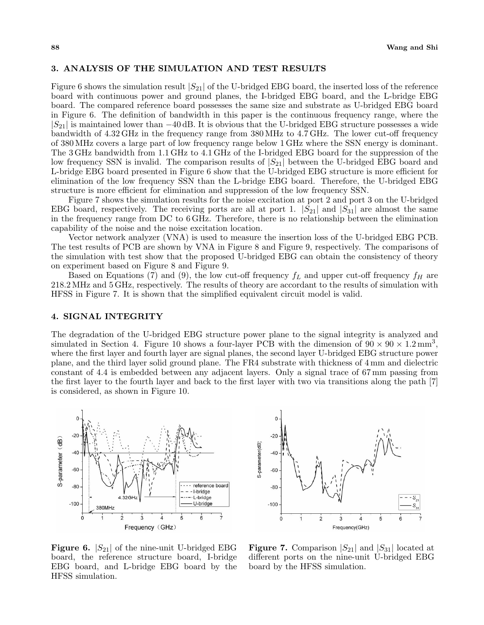## 3. ANALYSIS OF THE SIMULATION AND TEST RESULTS

Figure 6 shows the simulation result  $|S_{21}|$  of the U-bridged EBG board, the inserted loss of the reference board with continuous power and ground planes, the I-bridged EBG board, and the L-bridge EBG board. The compared reference board possesses the same size and substrate as U-bridged EBG board in Figure 6. The definition of bandwidth in this paper is the continuous frequency range, where the  $|S_{21}|$  is maintained lower than  $-40$  dB. It is obvious that the U-bridged EBG structure possesses a wide bandwidth of 4.32 GHz in the frequency range from 380 MHz to 4.7 GHz. The lower cut-off frequency of 380 MHz covers a large part of low frequency range below 1 GHz where the SSN energy is dominant. The 3 GHz bandwidth from 1.1 GHz to 4.1 GHz of the I-bridged EBG board for the suppression of the low frequency SSN is invalid. The comparison results of  $|S_{21}|$  between the U-bridged EBG board and L-bridge EBG board presented in Figure 6 show that the U-bridged EBG structure is more efficient for elimination of the low frequency SSN than the L-bridge EBG board. Therefore, the U-bridged EBG structure is more efficient for elimination and suppression of the low frequency SSN.

Figure 7 shows the simulation results for the noise excitation at port 2 and port 3 on the U-bridged EBG board, respectively. The receiving ports are all at port 1.  $|S_{21}|$  and  $|S_{31}|$  are almost the same in the frequency range from DC to 6 GHz. Therefore, there is no relationship between the elimination capability of the noise and the noise excitation location.

Vector network analyzer (VNA) is used to measure the insertion loss of the U-bridged EBG PCB. The test results of PCB are shown by VNA in Figure 8 and Figure 9, respectively. The comparisons of the simulation with test show that the proposed U-bridged EBG can obtain the consistency of theory on experiment based on Figure 8 and Figure 9.

Based on Equations (7) and (9), the low cut-off frequency  $f_L$  and upper cut-off frequency  $f_H$  are 218.2 MHz and 5 GHz, respectively. The results of theory are accordant to the results of simulation with HFSS in Figure 7. It is shown that the simplified equivalent circuit model is valid.

# 4. SIGNAL INTEGRITY

The degradation of the U-bridged EBG structure power plane to the signal integrity is analyzed and simulated in Section 4. Figure 10 shows a four-layer PCB with the dimension of  $90 \times 90 \times 1.2 \text{ mm}^3$ , where the first layer and fourth layer are signal planes, the second layer U-bridged EBG structure power plane, and the third layer solid ground plane. The FR4 substrate with thickness of 4 mm and dielectric constant of 4.4 is embedded between any adjacent layers. Only a signal trace of 67 mm passing from the first layer to the fourth layer and back to the first layer with two via transitions along the path [7] is considered, as shown in Figure 10.





**Figure 6.**  $|S_{21}|$  of the nine-unit U-bridged EBG board, the reference structure board, I-bridge EBG board, and L-bridge EBG board by the HFSS simulation.

**Figure 7.** Comparison  $|S_{21}|$  and  $|S_{31}|$  located at different ports on the nine-unit U-bridged EBG board by the HFSS simulation.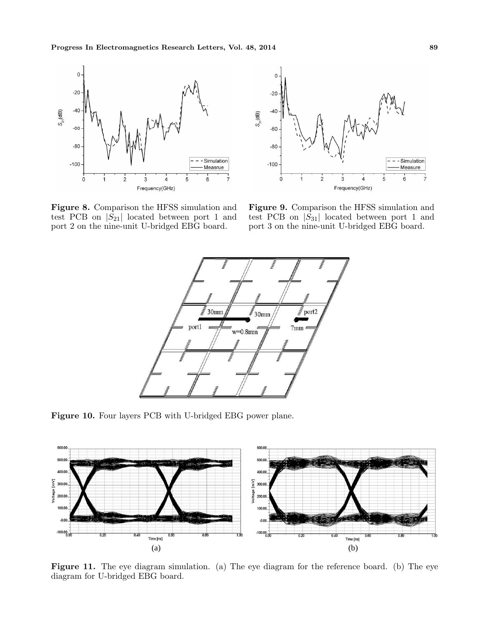

Figure 8. Comparison the HFSS simulation and test PCB on  $|S_{21}|$  located between port 1 and port 2 on the nine-unit U-bridged EBG board.



Figure 9. Comparison the HFSS simulation and test PCB on  $|S_{31}|$  located between port 1 and port 3 on the nine-unit U-bridged EBG board.



Figure 10. Four layers PCB with U-bridged EBG power plane.



Figure 11. The eye diagram simulation. (a) The eye diagram for the reference board. (b) The eye diagram for U-bridged EBG board.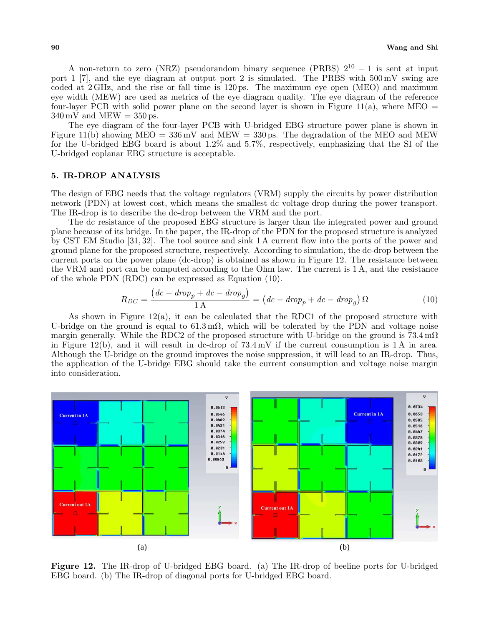A non-return to zero (NRZ) pseudorandom binary sequence (PRBS)  $2^{10} - 1$  is sent at input port 1 [7], and the eye diagram at output port 2 is simulated. The PRBS with 500 mV swing are coded at 2 GHz, and the rise or fall time is 120 ps. The maximum eye open (MEO) and maximum eye width (MEW) are used as metrics of the eye diagram quality. The eye diagram of the reference four-layer PCB with solid power plane on the second layer is shown in Figure 11(a), where MEO  $=$  $340 \,\mathrm{mV}$  and MEW =  $350 \,\mathrm{ps}$ .

The eye diagram of the four-layer PCB with U-bridged EBG structure power plane is shown in Figure 11(b) showing  $MEO = 336 \text{ mV}$  and  $MEW = 330 \text{ ps}$ . The degradation of the MEO and MEW for the U-bridged EBG board is about 1.2% and 5.7%, respectively, emphasizing that the SI of the U-bridged coplanar EBG structure is acceptable.

# 5. IR-DROP ANALYSIS

The design of EBG needs that the voltage regulators (VRM) supply the circuits by power distribution network (PDN) at lowest cost, which means the smallest dc voltage drop during the power transport. The IR-drop is to describe the dc-drop between the VRM and the port.

The dc resistance of the proposed EBG structure is larger than the integrated power and ground plane because of its bridge. In the paper, the IR-drop of the PDN for the proposed structure is analyzed by CST EM Studio [31, 32]. The tool source and sink 1 A current flow into the ports of the power and ground plane for the proposed structure, respectively. According to simulation, the dc-drop between the current ports on the power plane (dc-drop) is obtained as shown in Figure 12. The resistance between the VRM and port can be computed according to the Ohm law. The current is 1 A, and the resistance of the whole PDN (RDC) can be expressed as Equation (10). ¡ ¢

$$
R_{DC} = \frac{(dc - drop_p + dc - drop_g)}{1 \text{ A}} = (dc - drop_p + dc - drop_g) \Omega \tag{10}
$$

As shown in Figure  $12(a)$ , it can be calculated that the RDC1 of the proposed structure with U-bridge on the ground is equal to  $61.3 \text{ m}\Omega$ , which will be tolerated by the PDN and voltage noise margin generally. While the RDC2 of the proposed structure with U-bridge on the ground is  $73.4 \text{ m}\Omega$ in Figure 12(b), and it will result in dc-drop of 73.4 mV if the current consumption is 1 A in area. Although the U-bridge on the ground improves the noise suppression, it will lead to an IR-drop. Thus, the application of the U-bridge EBG should take the current consumption and voltage noise margin into consideration.



Figure 12. The IR-drop of U-bridged EBG board. (a) The IR-drop of beeline ports for U-bridged EBG board. (b) The IR-drop of diagonal ports for U-bridged EBG board.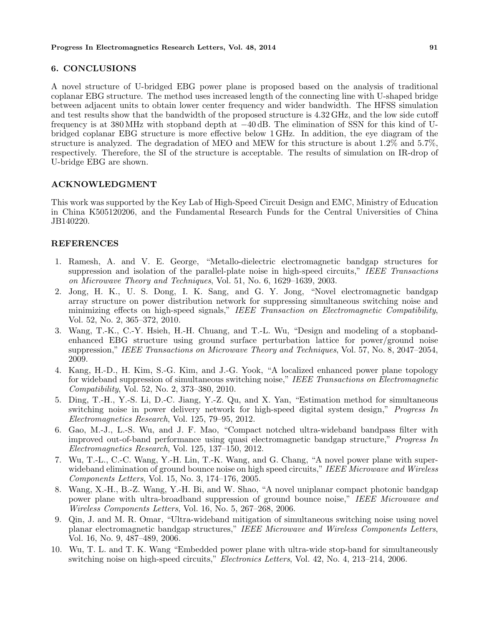# 6. CONCLUSIONS

A novel structure of U-bridged EBG power plane is proposed based on the analysis of traditional coplanar EBG structure. The method uses increased length of the connecting line with U-shaped bridge between adjacent units to obtain lower center frequency and wider bandwidth. The HFSS simulation and test results show that the bandwidth of the proposed structure is 4.32 GHz, and the low side cutoff frequency is at 380 MHz with stopband depth at −40 dB. The elimination of SSN for this kind of Ubridged coplanar EBG structure is more effective below 1 GHz. In addition, the eye diagram of the structure is analyzed. The degradation of MEO and MEW for this structure is about 1.2% and 5.7%, respectively. Therefore, the SI of the structure is acceptable. The results of simulation on IR-drop of U-bridge EBG are shown.

# ACKNOWLEDGMENT

This work was supported by the Key Lab of High-Speed Circuit Design and EMC, Ministry of Education in China K505120206, and the Fundamental Research Funds for the Central Universities of China JB140220.

# REFERENCES

- 1. Ramesh, A. and V. E. George, "Metallo-dielectric electromagnetic bandgap structures for suppression and isolation of the parallel-plate noise in high-speed circuits," IEEE Transactions on Microwave Theory and Techniques, Vol. 51, No. 6, 1629–1639, 2003.
- 2. Jong, H. K., U. S. Dong, I. K. Sang, and G. Y. Jong, "Novel electromagnetic bandgap array structure on power distribution network for suppressing simultaneous switching noise and minimizing effects on high-speed signals," IEEE Transaction on Electromagnetic Compatibility, Vol. 52, No. 2, 365–372, 2010.
- 3. Wang, T.-K., C.-Y. Hsieh, H.-H. Chuang, and T.-L. Wu, "Design and modeling of a stopbandenhanced EBG structure using ground surface perturbation lattice for power/ground noise suppression," IEEE Transactions on Microwave Theory and Techniques, Vol. 57, No. 8, 2047–2054, 2009.
- 4. Kang, H.-D., H. Kim, S.-G. Kim, and J.-G. Yook, "A localized enhanced power plane topology for wideband suppression of simultaneous switching noise," IEEE Transactions on Electromagnetic Compatibility, Vol. 52, No. 2, 373–380, 2010.
- 5. Ding, T.-H., Y.-S. Li, D.-C. Jiang, Y.-Z. Qu, and X. Yan, "Estimation method for simultaneous switching noise in power delivery network for high-speed digital system design," *Progress In* Electromagnetics Research, Vol. 125, 79–95, 2012.
- 6. Gao, M.-J., L.-S. Wu, and J. F. Mao, "Compact notched ultra-wideband bandpass filter with improved out-of-band performance using quasi electromagnetic bandgap structure," Progress In Electromagnetics Research, Vol. 125, 137–150, 2012.
- 7. Wu, T.-L., C.-C. Wang, Y.-H. Lin, T.-K. Wang, and G. Chang, "A novel power plane with superwideband elimination of ground bounce noise on high speed circuits," IEEE Microwave and Wireless Components Letters, Vol. 15, No. 3, 174–176, 2005.
- 8. Wang, X.-H., B.-Z. Wang, Y.-H. Bi, and W. Shao, "A novel uniplanar compact photonic bandgap power plane with ultra-broadband suppression of ground bounce noise," IEEE Microwave and Wireless Components Letters, Vol. 16, No. 5, 267–268, 2006.
- 9. Qin, J. and M. R. Omar, "Ultra-wideband mitigation of simultaneous switching noise using novel planar electromagnetic bandgap structures," IEEE Microwave and Wireless Components Letters, Vol. 16, No. 9, 487–489, 2006.
- 10. Wu, T. L. and T. K. Wang "Embedded power plane with ultra-wide stop-band for simultaneously switching noise on high-speed circuits," Electronics Letters, Vol. 42, No. 4, 213–214, 2006.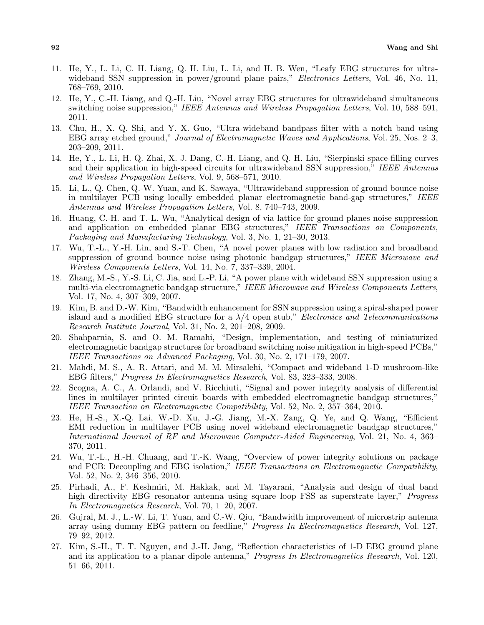- 11. He, Y., L. Li, C. H. Liang, Q. H. Liu, L. Li, and H. B. Wen, "Leafy EBG structures for ultrawideband SSN suppression in power/ground plane pairs," *Electronics Letters*, Vol. 46, No. 11, 768–769, 2010.
- 12. He, Y., C.-H. Liang, and Q.-H. Liu, "Novel array EBG structures for ultrawideband simultaneous switching noise suppression," IEEE Antennas and Wireless Propagation Letters, Vol. 10, 588–591, 2011.
- 13. Chu, H., X. Q. Shi, and Y. X. Guo, "Ultra-wideband bandpass filter with a notch band using EBG array etched ground," Journal of Electromagnetic Waves and Applications, Vol. 25, Nos. 2–3, 203–209, 2011.
- 14. He, Y., L. Li, H. Q. Zhai, X. J. Dang, C.-H. Liang, and Q. H. Liu, "Sierpinski space-filling curves and their application in high-speed circuits for ultrawideband SSN suppression," IEEE Antennas and Wireless Propagation Letters, Vol. 9, 568–571, 2010.
- 15. Li, L., Q. Chen, Q.-W. Yuan, and K. Sawaya, "Ultrawideband suppression of ground bounce noise in multilayer PCB using locally embedded planar electromagnetic band-gap structures," IEEE Antennas and Wireless Propagation Letters, Vol. 8, 740–743, 2009.
- 16. Huang, C.-H. and T.-L. Wu, "Analytical design of via lattice for ground planes noise suppression and application on embedded planar EBG structures," IEEE Transactions on Components, Packaging and Manufacturing Technology, Vol. 3, No. 1, 21–30, 2013.
- 17. Wu, T.-L., Y.-H. Lin, and S.-T. Chen, "A novel power planes with low radiation and broadband suppression of ground bounce noise using photonic bandgap structures," IEEE Microwave and Wireless Components Letters, Vol. 14, No. 7, 337–339, 2004.
- 18. Zhang, M.-S., Y.-S. Li, C. Jia, and L.-P. Li, "A power plane with wideband SSN suppression using a multi-via electromagnetic bandgap structure," IEEE Microwave and Wireless Components Letters, Vol. 17, No. 4, 307–309, 2007.
- 19. Kim, B. and D.-W. Kim, "Bandwidth enhancement for SSN suppression using a spiral-shaped power island and a modified EBG structure for a  $\lambda/4$  open stub," *Electronics and Telecommunications* Research Institute Journal, Vol. 31, No. 2, 201–208, 2009.
- 20. Shahparnia, S. and O. M. Ramahi, "Design, implementation, and testing of miniaturized electromagnetic bandgap structures for broadband switching noise mitigation in high-speed PCBs," IEEE Transactions on Advanced Packaging, Vol. 30, No. 2, 171–179, 2007.
- 21. Mahdi, M. S., A. R. Attari, and M. M. Mirsalehi, "Compact and wideband 1-D mushroom-like EBG filters," Progress In Electromagnetics Research, Vol. 83, 323–333, 2008.
- 22. Scogna, A. C., A. Orlandi, and V. Ricchiuti, "Signal and power integrity analysis of differential lines in multilayer printed circuit boards with embedded electromagnetic bandgap structures," IEEE Transaction on Electromagnetic Compatibility, Vol. 52, No. 2, 357–364, 2010.
- 23. He, H.-S., X.-Q. Lai, W.-D. Xu, J.-G. Jiang, M.-X. Zang, Q. Ye, and Q. Wang, "Efficient EMI reduction in multilayer PCB using novel wideband electromagnetic bandgap structures," International Journal of RF and Microwave Computer-Aided Engineering, Vol. 21, No. 4, 363– 370, 2011.
- 24. Wu, T.-L., H.-H. Chuang, and T.-K. Wang, "Overview of power integrity solutions on package and PCB: Decoupling and EBG isolation," IEEE Transactions on Electromagnetic Compatibility, Vol. 52, No. 2, 346–356, 2010.
- 25. Pirhadi, A., F. Keshmiri, M. Hakkak, and M. Tayarani, "Analysis and design of dual band high directivity EBG resonator antenna using square loop FSS as superstrate layer," *Progress* In Electromagnetics Research, Vol. 70, 1–20, 2007.
- 26. Gujral, M. J., L.-W. Li, T. Yuan, and C.-W. Qiu, "Bandwidth improvement of microstrip antenna array using dummy EBG pattern on feedline," Progress In Electromagnetics Research, Vol. 127, 79–92, 2012.
- 27. Kim, S.-H., T. T. Nguyen, and J.-H. Jang, "Reflection characteristics of 1-D EBG ground plane and its application to a planar dipole antenna," Progress In Electromagnetics Research, Vol. 120, 51–66, 2011.